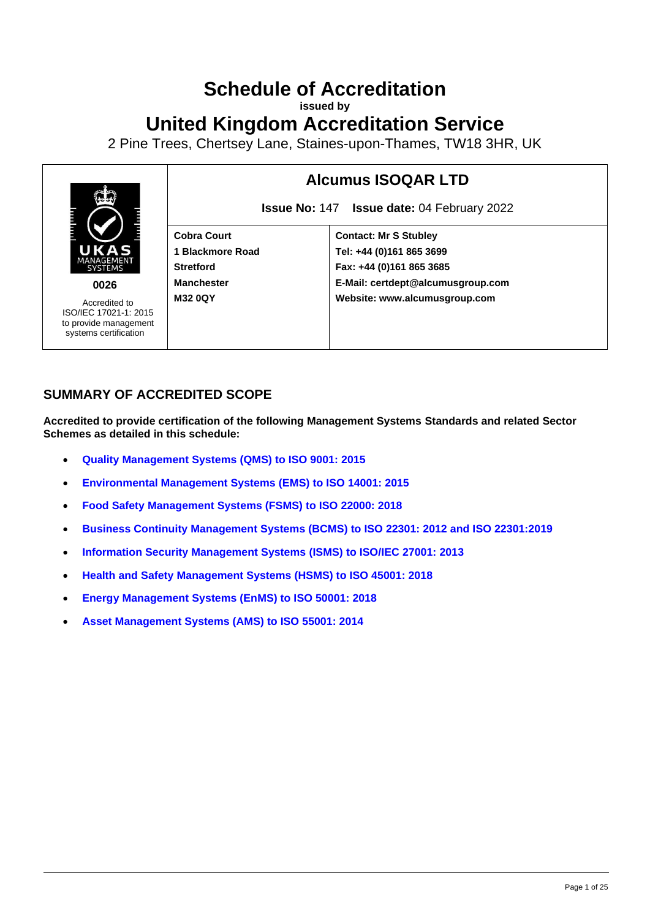# **Schedule of Accreditation**

**issued by**

**United Kingdom Accreditation Service**

2 Pine Trees, Chertsey Lane, Staines-upon-Thames, TW18 3HR, UK



### **SUMMARY OF ACCREDITED SCOPE**

**Accredited to provide certification of the following Management Systems Standards and related Sector Schemes as detailed in this schedule:**

- **[Quality Management Systems](#page-3-0) (QMS) to ISO 9001: 2015**
- **[Environmental Management Systems](#page-9-0) (EMS) to ISO 14001: 2015**
- **[Food Safety Management Systems \(FSMS\) to ISO 22000: 2018](#page-12-0)**
- **[Business Continuity Management Systems \(BCMS\) to ISO 22301: 2012 and ISO 22301:2019](#page-15-0)**
- **[Information Security Management Systems](#page-18-0) (ISMS) to ISO/IEC 27001: 2013**
- **[Health and Safety Management Systems \(HSMS\) to ISO 45001: 2018](#page-19-0)**
- **[Energy Management Systems \(EnMS\) to ISO 50001: 2018](#page-23-0)**
- **[Asset Management Systems \(AMS\) to ISO 55001: 2014](#page-24-0)**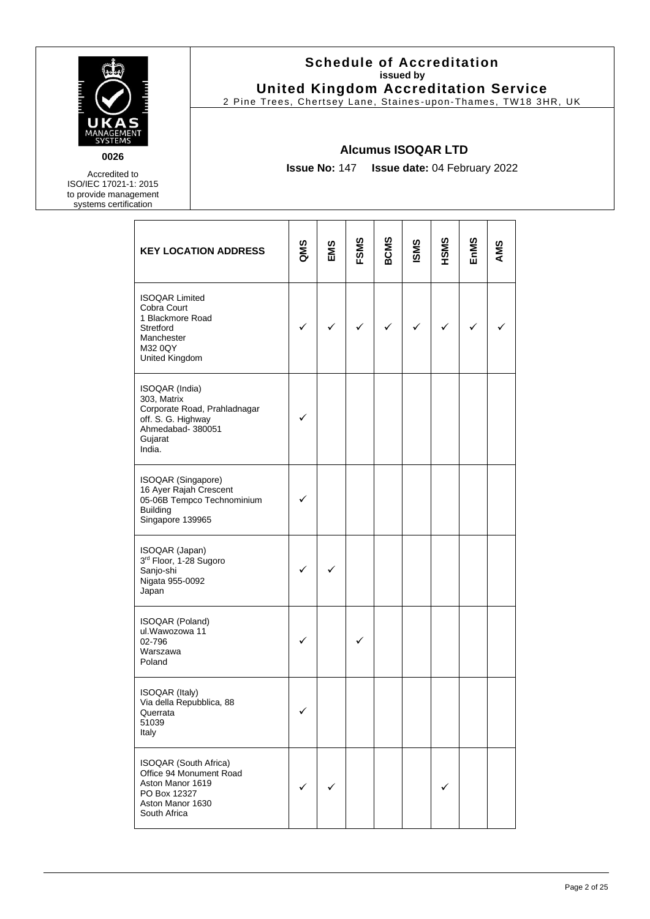

**0026**

Accredited to ISO/IEC 17021-1: 2015 to provide management systems certification

### **Schedule of Accreditation issued by United Kingdom Accreditation Service**

2 Pine Trees, Chertsey Lane, Staines -upon-Thames, TW18 3HR, UK

### **Alcumus ISOQAR LTD**

**Issue No:** 147 **Issue date:** 04 February 2022

| <b>KEY LOCATION ADDRESS</b>                                                                                                   | QMS | EMS | FSMS | <b>BCMS</b>  | <b>ISMS</b> | HSMS         | EnMS | AMS |
|-------------------------------------------------------------------------------------------------------------------------------|-----|-----|------|--------------|-------------|--------------|------|-----|
| <b>ISOQAR Limited</b><br>Cobra Court<br>1 Blackmore Road<br>Stretford<br>Manchester<br>M32 0QY<br>United Kingdom              |     | ✓   | ✓    | $\checkmark$ | ✓           | $\checkmark$ | ✓    |     |
| ISOQAR (India)<br>303, Matrix<br>Corporate Road, Prahladnagar<br>off. S. G. Highway<br>Ahmedabad- 380051<br>Gujarat<br>India. | ✓   |     |      |              |             |              |      |     |
| ISOQAR (Singapore)<br>16 Ayer Rajah Crescent<br>05-06B Tempco Technominium<br><b>Building</b><br>Singapore 139965             |     |     |      |              |             |              |      |     |
| ISOQAR (Japan)<br>3rd Floor, 1-28 Sugoro<br>Sanjo-shi<br>Nigata 955-0092<br>Japan                                             |     |     |      |              |             |              |      |     |
| ISOQAR (Poland)<br>ul. Wawozowa 11<br>02-796<br>Warszawa<br>Poland                                                            |     |     |      |              |             |              |      |     |
| <b>ISOQAR (Italy)</b><br>Via della Repubblica, 88<br>Querrata<br>51039<br>Italy                                               |     |     |      |              |             |              |      |     |
| ISOQAR (South Africa)<br>Office 94 Monument Road<br>Aston Manor 1619<br>PO Box 12327<br>Aston Manor 1630<br>South Africa      |     |     |      |              |             | ✓            |      |     |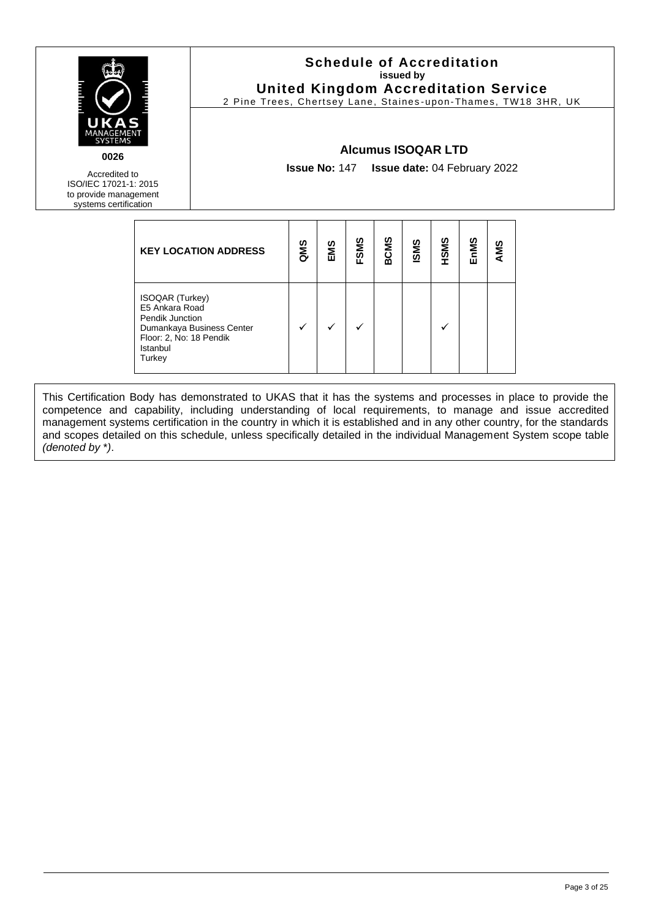

**Schedule of Accreditation issued by United Kingdom Accreditation Service**

2 Pine Trees, Chertsey Lane, Staines -upon-Thames, TW18 3HR, UK

### **Alcumus ISOQAR LTD**

**Issue No:** 147 **Issue date:** 04 February 2022

Accredited to ISO/IEC 17021-1: 2015 to provide management systems certification

| <b>KEY LOCATION ADDRESS</b>                                                                                                               | QMS | EMS | <b>FSMS</b> | <b>BCMS</b> | <b>ISMS</b> | HSMS | EnMS | AMS |
|-------------------------------------------------------------------------------------------------------------------------------------------|-----|-----|-------------|-------------|-------------|------|------|-----|
| <b>ISOQAR (Turkey)</b><br>E5 Ankara Road<br>Pendik Junction<br>Dumankaya Business Center<br>Floor: 2, No: 18 Pendik<br>Istanbul<br>Turkey |     |     |             |             |             |      |      |     |

This Certification Body has demonstrated to UKAS that it has the systems and processes in place to provide the competence and capability, including understanding of local requirements, to manage and issue accredited management systems certification in the country in which it is established and in any other country, for the standards and scopes detailed on this schedule, unless specifically detailed in the individual Management System scope table *(denoted by* \**)*.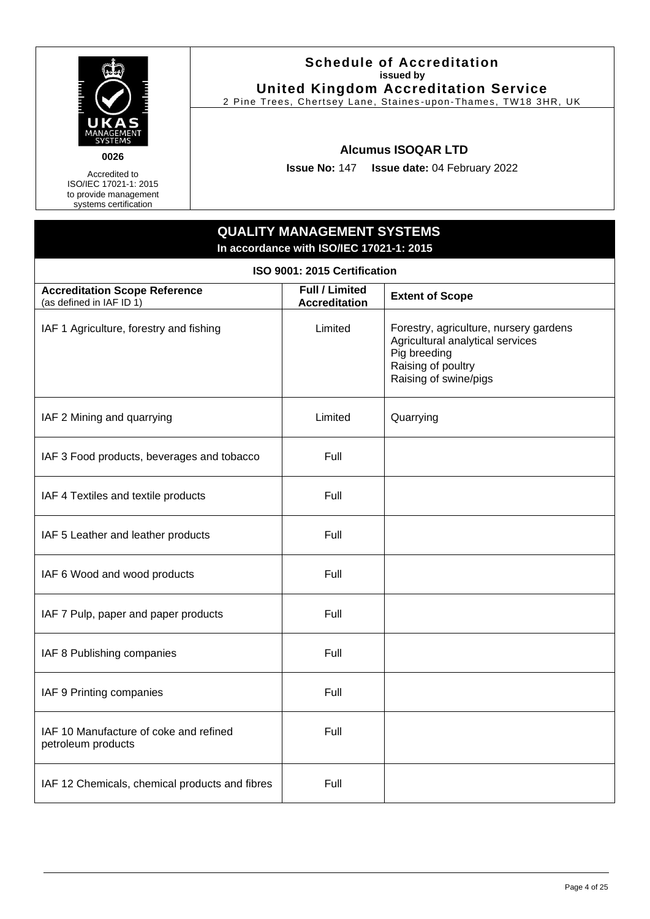

### **Schedule of Accreditation issued by United Kingdom Accreditation Service**

2 Pine Trees, Chertsey Lane, Staines -upon-Thames, TW18 3HR, UK

### **Alcumus ISOQAR LTD**

**Issue No:** 147 **Issue date:** 04 February 2022

### **QUALITY MANAGEMENT SYSTEMS In accordance with ISO/IEC 17021-1: 2015**

<span id="page-3-0"></span>

| ISO 9001: 2015 Certification                                     |                                               |                                                                                                                                           |  |  |  |
|------------------------------------------------------------------|-----------------------------------------------|-------------------------------------------------------------------------------------------------------------------------------------------|--|--|--|
| <b>Accreditation Scope Reference</b><br>(as defined in IAF ID 1) | <b>Full / Limited</b><br><b>Accreditation</b> | <b>Extent of Scope</b>                                                                                                                    |  |  |  |
| IAF 1 Agriculture, forestry and fishing                          | Limited                                       | Forestry, agriculture, nursery gardens<br>Agricultural analytical services<br>Pig breeding<br>Raising of poultry<br>Raising of swine/pigs |  |  |  |
| IAF 2 Mining and quarrying                                       | Limited                                       | Quarrying                                                                                                                                 |  |  |  |
| IAF 3 Food products, beverages and tobacco                       | Full                                          |                                                                                                                                           |  |  |  |
| IAF 4 Textiles and textile products                              | Full                                          |                                                                                                                                           |  |  |  |
| IAF 5 Leather and leather products                               | Full                                          |                                                                                                                                           |  |  |  |
| IAF 6 Wood and wood products                                     | Full                                          |                                                                                                                                           |  |  |  |
| IAF 7 Pulp, paper and paper products                             | Full                                          |                                                                                                                                           |  |  |  |
| IAF 8 Publishing companies                                       | Full                                          |                                                                                                                                           |  |  |  |
| IAF 9 Printing companies                                         | Full                                          |                                                                                                                                           |  |  |  |
| IAF 10 Manufacture of coke and refined<br>petroleum products     | Full                                          |                                                                                                                                           |  |  |  |
| IAF 12 Chemicals, chemical products and fibres                   | Full                                          |                                                                                                                                           |  |  |  |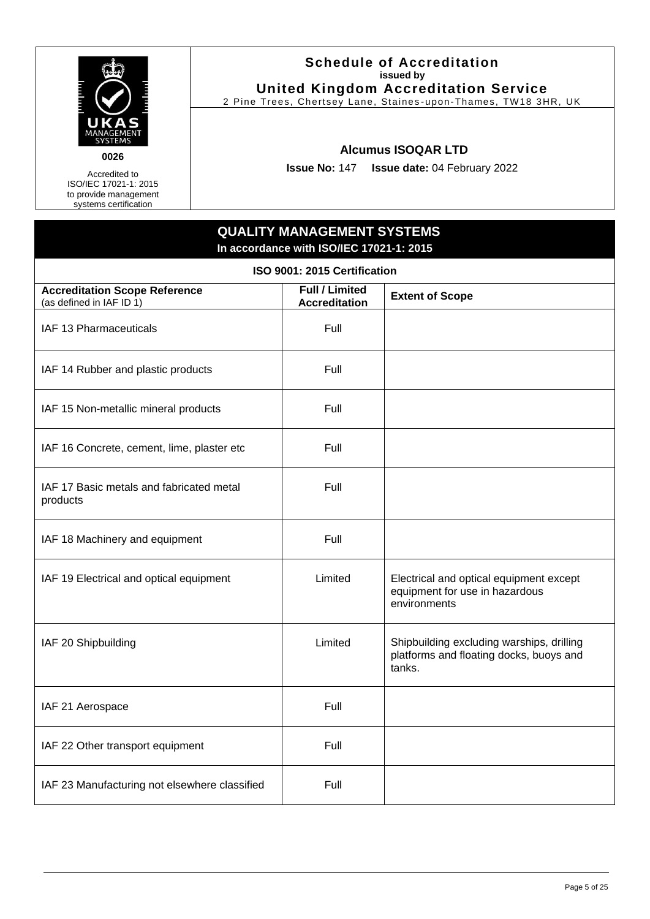

### **Schedule of Accreditation issued by United Kingdom Accreditation Service**

2 Pine Trees, Chertsey Lane, Staines -upon-Thames, TW18 3HR, UK

### **Alcumus ISOQAR LTD**

**Issue No:** 147 **Issue date:** 04 February 2022

### **QUALITY MANAGEMENT SYSTEMS In accordance with ISO/IEC 17021-1: 2015**

| ISO 9001: 2015 Certification                                     |                                               |                                                                                                |  |  |  |
|------------------------------------------------------------------|-----------------------------------------------|------------------------------------------------------------------------------------------------|--|--|--|
| <b>Accreditation Scope Reference</b><br>(as defined in IAF ID 1) | <b>Full / Limited</b><br><b>Accreditation</b> | <b>Extent of Scope</b>                                                                         |  |  |  |
| IAF 13 Pharmaceuticals                                           | Full                                          |                                                                                                |  |  |  |
| IAF 14 Rubber and plastic products                               | Full                                          |                                                                                                |  |  |  |
| IAF 15 Non-metallic mineral products                             | Full                                          |                                                                                                |  |  |  |
| IAF 16 Concrete, cement, lime, plaster etc                       | Full                                          |                                                                                                |  |  |  |
| IAF 17 Basic metals and fabricated metal<br>products             | Full                                          |                                                                                                |  |  |  |
| IAF 18 Machinery and equipment                                   | Full                                          |                                                                                                |  |  |  |
| IAF 19 Electrical and optical equipment                          | Limited                                       | Electrical and optical equipment except<br>equipment for use in hazardous<br>environments      |  |  |  |
| IAF 20 Shipbuilding                                              | Limited                                       | Shipbuilding excluding warships, drilling<br>platforms and floating docks, buoys and<br>tanks. |  |  |  |
| IAF 21 Aerospace                                                 | Full                                          |                                                                                                |  |  |  |
| IAF 22 Other transport equipment                                 | Full                                          |                                                                                                |  |  |  |
| IAF 23 Manufacturing not elsewhere classified                    | Full                                          |                                                                                                |  |  |  |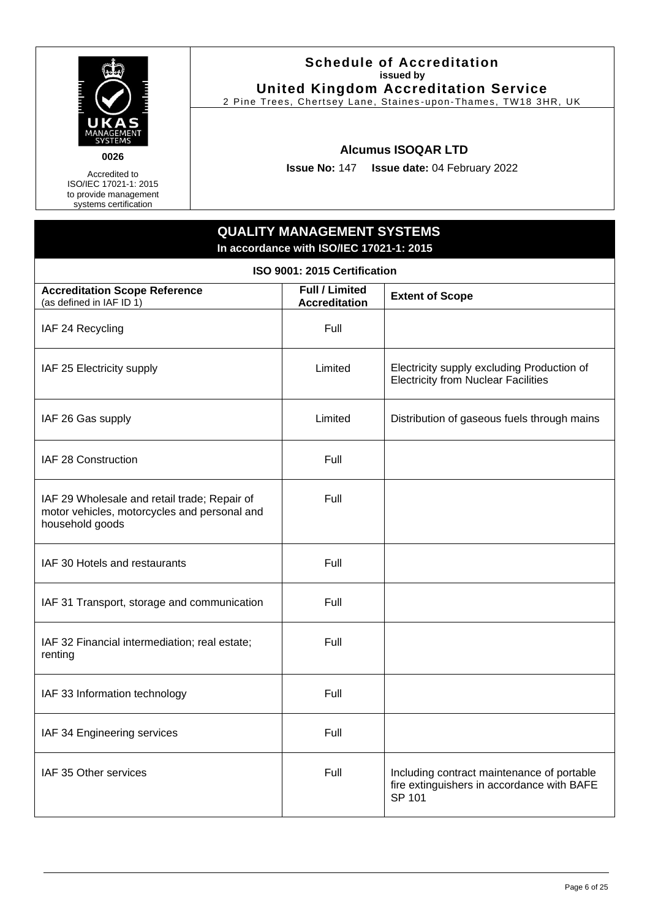

### **Schedule of Accreditation issued by United Kingdom Accreditation Service**

2 Pine Trees, Chertsey Lane, Staines -upon-Thames, TW18 3HR, UK

### **Alcumus ISOQAR LTD**

**Issue No:** 147 **Issue date:** 04 February 2022

### **QUALITY MANAGEMENT SYSTEMS In accordance with ISO/IEC 17021-1: 2015**

| ISO 9001: 2015 Certification                                                                                    |                                               |                                                                                                    |  |  |  |
|-----------------------------------------------------------------------------------------------------------------|-----------------------------------------------|----------------------------------------------------------------------------------------------------|--|--|--|
| <b>Accreditation Scope Reference</b><br>(as defined in IAF ID 1)                                                | <b>Full / Limited</b><br><b>Accreditation</b> | <b>Extent of Scope</b>                                                                             |  |  |  |
| IAF 24 Recycling                                                                                                | Full                                          |                                                                                                    |  |  |  |
| IAF 25 Electricity supply                                                                                       | Limited                                       | Electricity supply excluding Production of<br><b>Electricity from Nuclear Facilities</b>           |  |  |  |
| IAF 26 Gas supply                                                                                               | Limited                                       | Distribution of gaseous fuels through mains                                                        |  |  |  |
| IAF 28 Construction                                                                                             | Full                                          |                                                                                                    |  |  |  |
| IAF 29 Wholesale and retail trade; Repair of<br>motor vehicles, motorcycles and personal and<br>household goods | Full                                          |                                                                                                    |  |  |  |
| IAF 30 Hotels and restaurants                                                                                   | Full                                          |                                                                                                    |  |  |  |
| IAF 31 Transport, storage and communication                                                                     | Full                                          |                                                                                                    |  |  |  |
| IAF 32 Financial intermediation; real estate;<br>renting                                                        | Full                                          |                                                                                                    |  |  |  |
| IAF 33 Information technology                                                                                   | Full                                          |                                                                                                    |  |  |  |
| IAF 34 Engineering services                                                                                     | Full                                          |                                                                                                    |  |  |  |
| IAF 35 Other services                                                                                           | Full                                          | Including contract maintenance of portable<br>fire extinguishers in accordance with BAFE<br>SP 101 |  |  |  |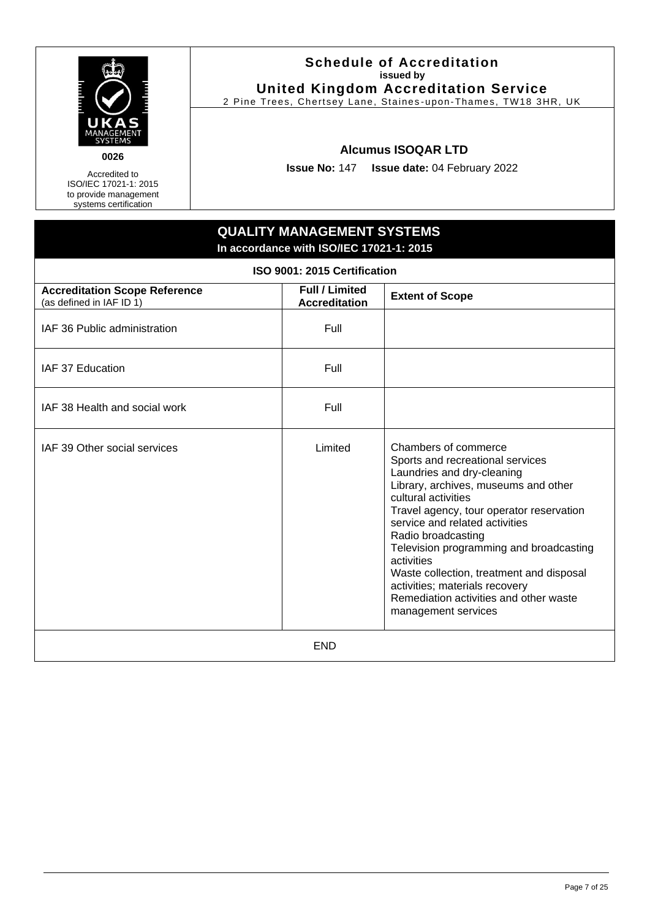

### **Schedule of Accreditation issued by United Kingdom Accreditation Service**

2 Pine Trees, Chertsey Lane, Staines -upon-Thames, TW18 3HR, UK

### **Alcumus ISOQAR LTD**

**Issue No:** 147 **Issue date:** 04 February 2022

### **QUALITY MANAGEMENT SYSTEMS In accordance with ISO/IEC 17021-1: 2015 ISO 9001: 2015 Certification Accreditation Scope Reference** (as defined in IAF ID 1) **Full / Limited Accreditation Extent of Scope** IAF 36 Public administration The Rull of Tell IAF 37 Education **Full** Full  $IAF$  38 Health and social work  $I = \begin{bmatrix} 1 & 1 \\ 1 & 1 \end{bmatrix}$  Full IAF 39 Other social services Limited Chambers of commerce Sports and recreational services Laundries and dry-cleaning Library, archives, museums and other cultural activities Travel agency, tour operator reservation service and related activities Radio broadcasting Television programming and broadcasting activities Waste collection, treatment and disposal activities; materials recovery Remediation activities and other waste management services END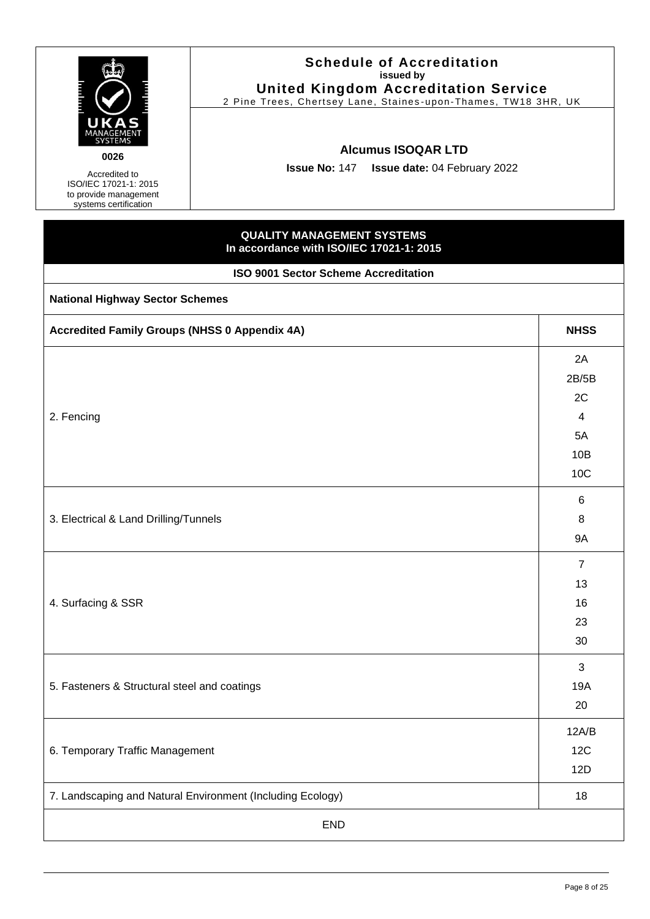| <b>Schedule of Accreditation</b><br>issued by<br><b>United Kingdom Accreditation Service</b><br>2 Pine Trees, Chertsey Lane, Staines-upon-Thames, TW18 3HR, UK<br>UKA<br>MANAGEMENT<br><b>Alcumus ISOQAR LTD</b><br>0026<br>Issue No: 147   Issue date: 04 February 2022<br>Accredited to<br>ISO/IEC 17021-1: 2015<br>to provide management<br>systems certification |                                                                               |                                                                                                  |  |
|----------------------------------------------------------------------------------------------------------------------------------------------------------------------------------------------------------------------------------------------------------------------------------------------------------------------------------------------------------------------|-------------------------------------------------------------------------------|--------------------------------------------------------------------------------------------------|--|
|                                                                                                                                                                                                                                                                                                                                                                      | <b>QUALITY MANAGEMENT SYSTEMS</b><br>In accordance with ISO/IEC 17021-1: 2015 |                                                                                                  |  |
|                                                                                                                                                                                                                                                                                                                                                                      | <b>ISO 9001 Sector Scheme Accreditation</b>                                   |                                                                                                  |  |
| <b>National Highway Sector Schemes</b>                                                                                                                                                                                                                                                                                                                               |                                                                               |                                                                                                  |  |
| <b>Accredited Family Groups (NHSS 0 Appendix 4A)</b>                                                                                                                                                                                                                                                                                                                 |                                                                               | <b>NHSS</b>                                                                                      |  |
| 2. Fencing<br>3. Electrical & Land Drilling/Tunnels                                                                                                                                                                                                                                                                                                                  |                                                                               | 2A<br>2B/5B<br>2C<br>4<br>5A<br>10B<br><b>10C</b><br>6<br>8<br><b>9A</b><br>$\overline{7}$<br>13 |  |
| 4. Surfacing & SSR                                                                                                                                                                                                                                                                                                                                                   |                                                                               | 16<br>23<br>30<br>3                                                                              |  |
| 5. Fasteners & Structural steel and coatings                                                                                                                                                                                                                                                                                                                         |                                                                               | 19A<br>20                                                                                        |  |
| 6. Temporary Traffic Management                                                                                                                                                                                                                                                                                                                                      |                                                                               |                                                                                                  |  |
|                                                                                                                                                                                                                                                                                                                                                                      | 7. Landscaping and Natural Environment (Including Ecology)                    | 18                                                                                               |  |
|                                                                                                                                                                                                                                                                                                                                                                      | <b>END</b>                                                                    |                                                                                                  |  |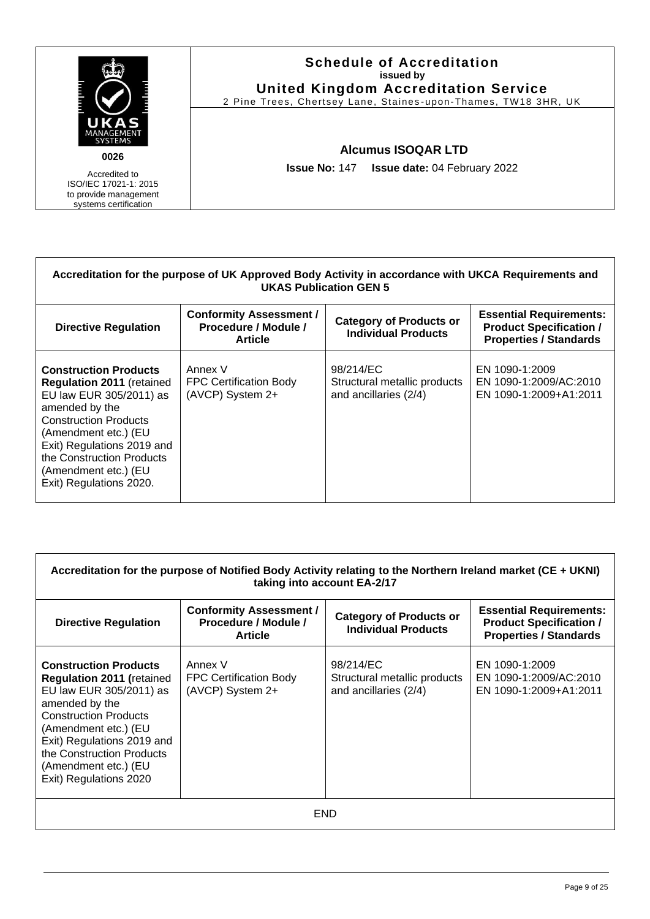

### **Schedule of Accreditation issued by United Kingdom Accreditation Service**

2 Pine Trees, Chertsey Lane, Staines -upon-Thames, TW18 3HR, UK

### **Alcumus ISOQAR LTD**

**Issue No:** 147 **Issue date:** 04 February 2022

| Accreditation for the purpose of UK Approved Body Activity in accordance with UKCA Requirements and<br><b>UKAS Publication GEN 5</b>                                                                                                                                                |                                                                          |                                                                    |                                                                                                   |  |  |
|-------------------------------------------------------------------------------------------------------------------------------------------------------------------------------------------------------------------------------------------------------------------------------------|--------------------------------------------------------------------------|--------------------------------------------------------------------|---------------------------------------------------------------------------------------------------|--|--|
| <b>Directive Regulation</b>                                                                                                                                                                                                                                                         | <b>Conformity Assessment /</b><br>Procedure / Module /<br><b>Article</b> | <b>Category of Products or</b><br><b>Individual Products</b>       | <b>Essential Requirements:</b><br><b>Product Specification /</b><br><b>Properties / Standards</b> |  |  |
| <b>Construction Products</b><br><b>Regulation 2011</b> (retained<br>EU law EUR 305/2011) as<br>amended by the<br><b>Construction Products</b><br>(Amendment etc.) (EU<br>Exit) Regulations 2019 and<br>the Construction Products<br>(Amendment etc.) (EU<br>Exit) Regulations 2020. | Annex V<br><b>FPC Certification Body</b><br>(AVCP) System 2+             | 98/214/EC<br>Structural metallic products<br>and ancillaries (2/4) | EN 1090-1:2009<br>EN 1090-1:2009/AC:2010<br>EN 1090-1:2009+A1:2011                                |  |  |

| Accreditation for the purpose of Notified Body Activity relating to the Northern Ireland market (CE + UKNI)<br>taking into account EA-2/17                                                                                                                                         |                                                                          |                                                                    |                                                                                                   |  |  |
|------------------------------------------------------------------------------------------------------------------------------------------------------------------------------------------------------------------------------------------------------------------------------------|--------------------------------------------------------------------------|--------------------------------------------------------------------|---------------------------------------------------------------------------------------------------|--|--|
| <b>Directive Regulation</b>                                                                                                                                                                                                                                                        | <b>Conformity Assessment /</b><br>Procedure / Module /<br><b>Article</b> | <b>Category of Products or</b><br><b>Individual Products</b>       | <b>Essential Requirements:</b><br><b>Product Specification /</b><br><b>Properties / Standards</b> |  |  |
| <b>Construction Products</b><br><b>Regulation 2011 (retained</b><br>EU law EUR 305/2011) as<br>amended by the<br><b>Construction Products</b><br>(Amendment etc.) (EU<br>Exit) Regulations 2019 and<br>the Construction Products<br>(Amendment etc.) (EU<br>Exit) Regulations 2020 | Annex V<br><b>FPC Certification Body</b><br>(AVCP) System 2+             | 98/214/EC<br>Structural metallic products<br>and ancillaries (2/4) | EN 1090-1:2009<br>EN 1090-1:2009/AC:2010<br>EN 1090-1:2009+A1:2011                                |  |  |
| END                                                                                                                                                                                                                                                                                |                                                                          |                                                                    |                                                                                                   |  |  |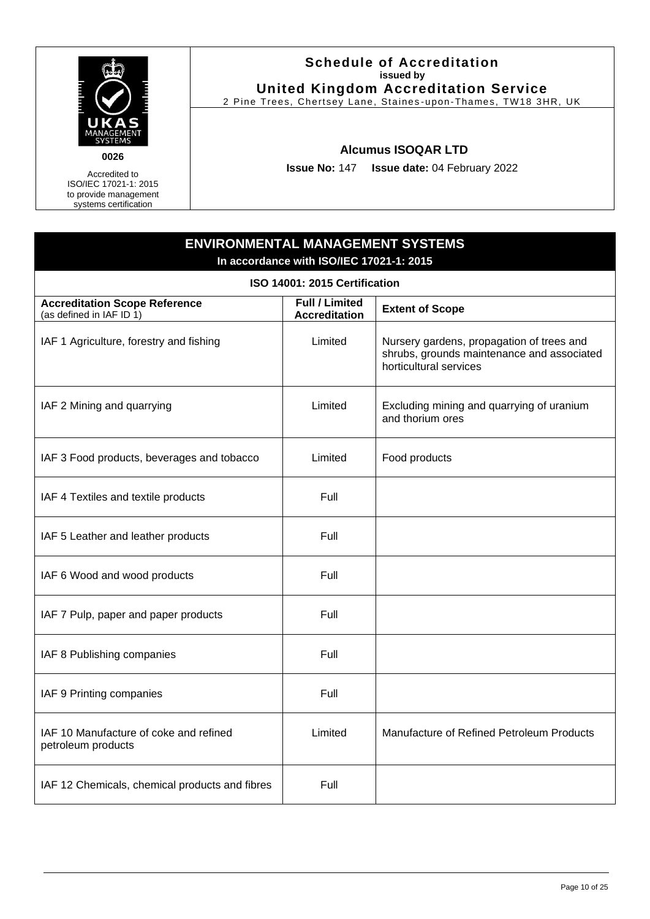

### **Schedule of Accreditation issued by United Kingdom Accreditation Service**

2 Pine Trees, Chertsey Lane, Staines -upon-Thames, TW18 3HR, UK

### **Alcumus ISOQAR LTD**

**Issue No:** 147 **Issue date:** 04 February 2022

# <span id="page-9-0"></span>**ENVIRONMENTAL MANAGEMENT SYSTEMS In accordance with ISO/IEC 17021-1: 2015 ISO 14001: 2015 Certification Accreditation Scope Reference** (as defined in IAF ID 1) **Full / Limited Accreditation Extent of Scope** IAF 1 Agriculture, forestry and fishing  $\vert$  Limited Nursery gardens, propagation of trees and shrubs, grounds maintenance and associated horticultural services IAF 2 Mining and quarrying  $\parallel$  Limited Excluding mining and quarrying of uranium and thorium ores IAF 3 Food products, beverages and tobacco | Limited | Food products  $IAF 4$  Textiles and textile products  $I = \begin{bmatrix} 1 & 1 \\ 1 & 1 \end{bmatrix}$  Full IAF 5 Leather and leather products **Full** Full IAF 6 Wood and wood products **Full** Full IAF 7 Pulp, paper and paper products Full IAF 8 Publishing companies Full IAF 9 Printing companies Full IAF 10 Manufacture of coke and refined petroleum products Limited | Manufacture of Refined Petroleum Products IAF 12 Chemicals, chemical products and fibres  $\vert$  Full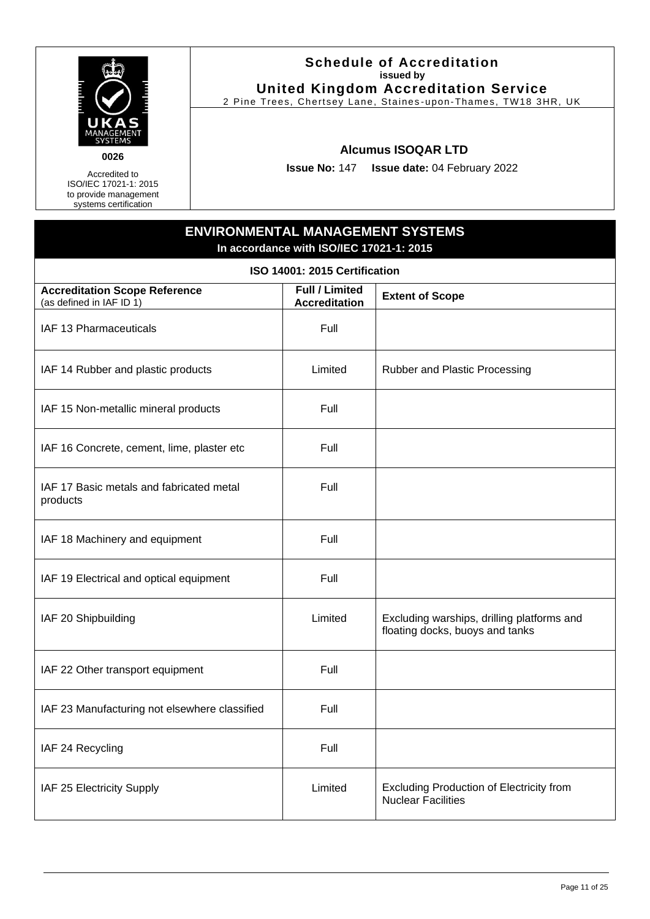

Accredited to ISO/IEC 17021-1: 2015 to provide management

systems certification

### **Schedule of Accreditation issued by United Kingdom Accreditation Service**

2 Pine Trees, Chertsey Lane, Staines -upon-Thames, TW18 3HR, UK

### **Alcumus ISOQAR LTD**

**Issue No:** 147 **Issue date:** 04 February 2022

# **ENVIRONMENTAL MANAGEMENT SYSTEMS In accordance with ISO/IEC 17021-1: 2015 ISO 14001: 2015 Certification Accreditation Scope Reference** (as defined in IAF ID 1) **Full / Limited Accreditation Extent of Scope**  $IAF$  13 Pharmaceuticals  $I = \begin{bmatrix} 1 & 1 \\ 1 & 1 \end{bmatrix}$  Full IAF 14 Rubber and plastic products **Limited** Rubber and Plastic Processing IAF 15 Non-metallic mineral products Full IAF 16 Concrete, cement, lime, plaster etc Full IAF 17 Basic metals and fabricated metal products Full IAF 18 Machinery and equipment Full IAF 19 Electrical and optical equipment Full IAF 20 Shipbuilding **Limited** Excluding warships, drilling platforms and floating docks, buoys and tanks IAF 22 Other transport equipment Full IAF 23 Manufacturing not elsewhere classified  $\vert$  Full IAF 24 Recycling Full IAF 25 Electricity Supply Limited Excluding Production of Electricity from Nuclear Facilities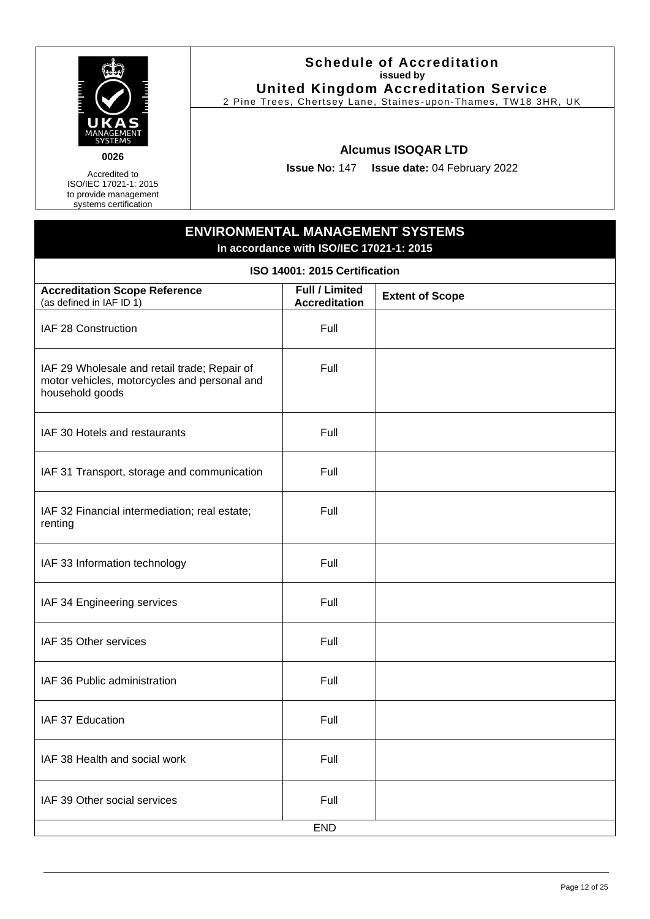

### **Schedule of Accreditation issued by United Kingdom Accreditation Service**

2 Pine Trees, Chertsey Lane, Staines -upon-Thames, TW18 3HR, UK

### **Alcumus ISOQAR LTD**

**Issue No:** 147 **Issue date:** 04 February 2022

# **ENVIRONMENTAL MANAGEMENT SYSTEMS In accordance with ISO/IEC 17021-1: 2015 ISO 14001: 2015 Certification Accreditation Scope Reference** (as defined in IAF ID 1) **Full / Limited Accreditation Extent of Scope** IAF 28 Construction **Full** Full IAF 29 Wholesale and retail trade; Repair of motor vehicles, motorcycles and personal and household goods Full IAF 30 Hotels and restaurants Theory Contains Full IAF 31 Transport, storage and communication  $\vert$  Full IAF 32 Financial intermediation; real estate; renting Full IAF 33 Information technology Full IAF 34 Engineering services Full IAF 35 Other services **Full** Full IAF 36 Public administration Full Full IAF 37 Education **Full** Full IAF 38 Health and social work Full Full IAF 39 Other social services Full Full END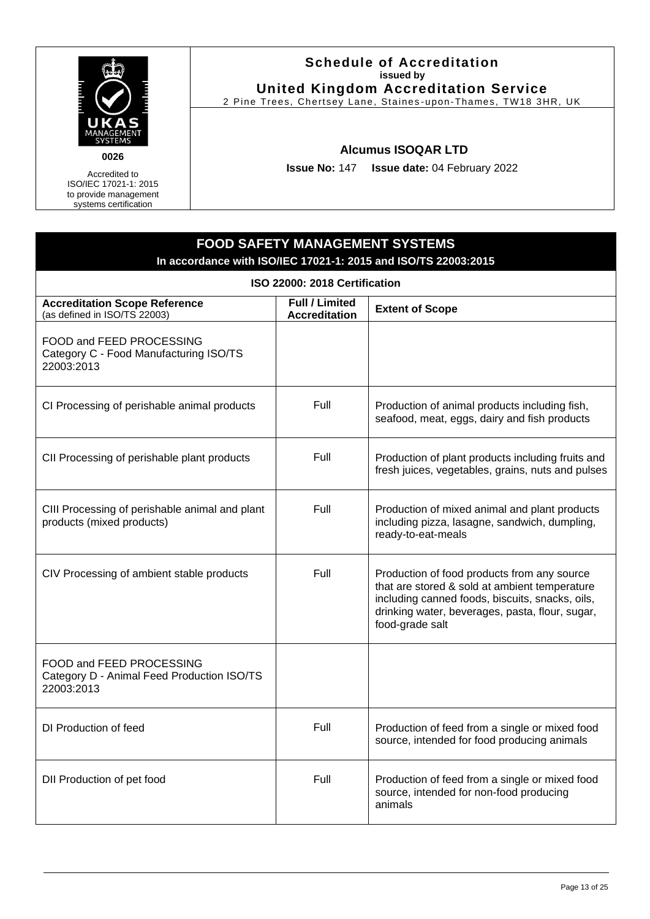

Accredited to ISO/IEC 17021-1: 2015 to provide management

systems certification

### **Schedule of Accreditation issued by United Kingdom Accreditation Service**

2 Pine Trees, Chertsey Lane, Staines -upon-Thames, TW18 3HR, UK

### **Alcumus ISOQAR LTD**

**Issue No:** 147 **Issue date:** 04 February 2022

### <span id="page-12-0"></span>**FOOD SAFETY MANAGEMENT SYSTEMS In accordance with ISO/IEC 17021-1: 2015 and ISO/TS 22003:2015 ISO 22000: 2018 Certification Accreditation Scope Reference** (as defined in ISO/TS 22003) **Full / Limited Accreditation Extent of Scope** FOOD and FEED PROCESSING Category C - Food Manufacturing ISO/TS 22003:2013 CI Processing of perishable animal products Full Production of animal products including fish, seafood, meat, eggs, dairy and fish products CII Processing of perishable plant products  $\begin{vmatrix} \cdot & \cdot & \cdot \\ \cdot & \cdot & \cdot \\ \cdot & \cdot & \cdot \end{vmatrix}$  Production of plant products including fruits and fresh juices, vegetables, grains, nuts and pulses CIII Processing of perishable animal and plant products (mixed products) Full Production of mixed animal and plant products including pizza, lasagne, sandwich, dumpling, ready-to-eat-meals CIV Processing of ambient stable products Full Full Production of food products from any source that are stored & sold at ambient temperature including canned foods, biscuits, snacks, oils, drinking water, beverages, pasta, flour, sugar, food-grade salt FOOD and FEED PROCESSING Category D - Animal Feed Production ISO/TS 22003:2013 DI Production of feed Full Production of feed Full Production of feed from a single or mixed food source, intended for food producing animals DII Production of pet food Full Full Production of feed from a single or mixed food source, intended for non-food producing animals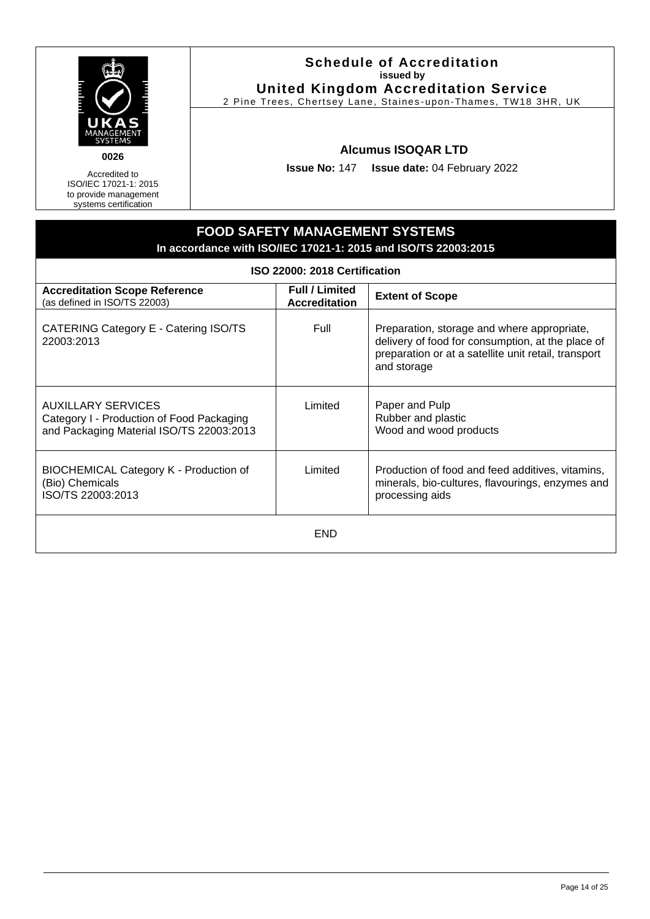

**0026**

Accredited to ISO/IEC 17021-1: 2015 to provide management systems certification

### **Schedule of Accreditation issued by United Kingdom Accreditation Service**

2 Pine Trees, Chertsey Lane, Staines -upon-Thames, TW18 3HR, UK

### **Alcumus ISOQAR LTD**

**Issue No:** 147 **Issue date:** 04 February 2022

#### **FOOD SAFETY MANAGEMENT SYSTEMS In accordance with ISO/IEC 17021-1: 2015 and ISO/TS 22003:2015 ISO 22000: 2018 Certification Accreditation Scope Reference** (as defined in ISO/TS 22003) **Full / Limited Accreditation Extent of Scope** CATERING Category E - Catering ISO/TS 22003:2013 Full Preparation, storage and where appropriate, delivery of food for consumption, at the place of preparation or at a satellite unit retail, transport and storage AUXILLARY SERVICES Category I - Production of Food Packaging and Packaging Material ISO/TS 22003:2013 Limited | Paper and Pulp Rubber and plastic Wood and wood products BIOCHEMICAL Category K - Production of (Bio) Chemicals ISO/TS 22003:2013 Limited | Production of food and feed additives, vitamins, minerals, bio-cultures, flavourings, enzymes and processing aids **FND**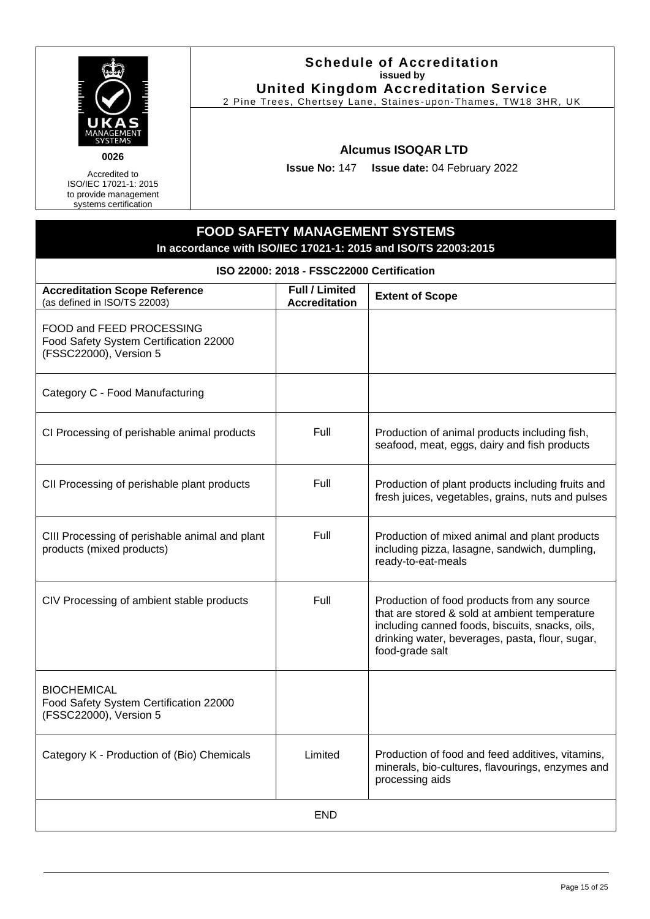

**0026**

Accredited to ISO/IEC 17021-1: 2015 to provide management systems certification

### **Schedule of Accreditation issued by United Kingdom Accreditation Service**

2 Pine Trees, Chertsey Lane, Staines -upon-Thames, TW18 3HR, UK

### **Alcumus ISOQAR LTD**

**Issue No:** 147 **Issue date:** 04 February 2022

### **FOOD SAFETY MANAGEMENT SYSTEMS In accordance with ISO/IEC 17021-1: 2015 and ISO/TS 22003:2015 ISO 22000: 2018 - FSSC22000 Certification Accreditation Scope Reference** (as defined in ISO/TS 22003) **Full / Limited Accreditation Extent of Scope** FOOD and FEED PROCESSING Food Safety System Certification 22000 (FSSC22000), Version 5 Category C - Food Manufacturing CI Processing of perishable animal products Full Production of animal products including fish, seafood, meat, eggs, dairy and fish products CII Processing of perishable plant products Full Full Production of plant products including fruits and fresh juices, vegetables, grains, nuts and pulses CIII Processing of perishable animal and plant products (mixed products) Full Production of mixed animal and plant products including pizza, lasagne, sandwich, dumpling, ready-to-eat-meals CIV Processing of ambient stable products Full Full Production of food products from any source that are stored & sold at ambient temperature including canned foods, biscuits, snacks, oils, drinking water, beverages, pasta, flour, sugar, food-grade salt **BIOCHEMICAL** Food Safety System Certification 22000 (FSSC22000), Version 5 Category K - Production of (Bio) Chemicals | Limited | Production of food and feed additives, vitamins, minerals, bio-cultures, flavourings, enzymes and processing aids END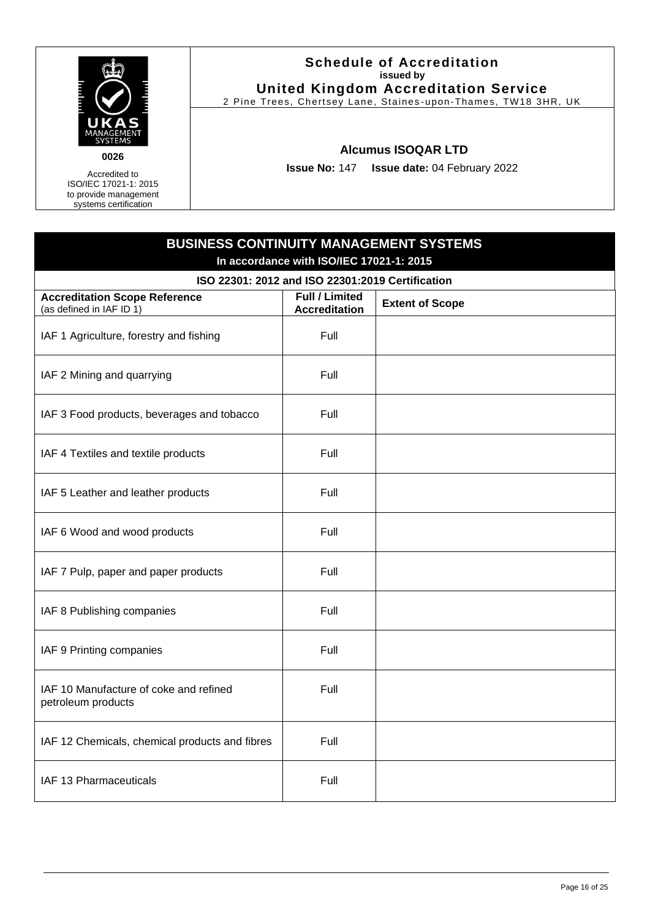

### **Schedule of Accreditation issued by United Kingdom Accreditation Service**

2 Pine Trees, Chertsey Lane, Staines -upon-Thames, TW18 3HR, UK

### **Alcumus ISOQAR LTD**

**Issue No:** 147 **Issue date:** 04 February 2022

<span id="page-15-0"></span>

| <b>BUSINESS CONTINUITY MANAGEMENT SYSTEMS</b><br>In accordance with ISO/IEC 17021-1: 2015 |                                               |                        |  |  |
|-------------------------------------------------------------------------------------------|-----------------------------------------------|------------------------|--|--|
| ISO 22301: 2012 and ISO 22301:2019 Certification                                          |                                               |                        |  |  |
| <b>Accreditation Scope Reference</b><br>(as defined in IAF ID 1)                          | <b>Full / Limited</b><br><b>Accreditation</b> | <b>Extent of Scope</b> |  |  |
| IAF 1 Agriculture, forestry and fishing                                                   | Full                                          |                        |  |  |
| IAF 2 Mining and quarrying                                                                | Full                                          |                        |  |  |
| IAF 3 Food products, beverages and tobacco                                                | Full                                          |                        |  |  |
| IAF 4 Textiles and textile products                                                       | Full                                          |                        |  |  |
| IAF 5 Leather and leather products                                                        | Full                                          |                        |  |  |
| IAF 6 Wood and wood products                                                              | Full                                          |                        |  |  |
| IAF 7 Pulp, paper and paper products                                                      | Full                                          |                        |  |  |
| IAF 8 Publishing companies                                                                | Full                                          |                        |  |  |
| IAF 9 Printing companies                                                                  | Full                                          |                        |  |  |
| IAF 10 Manufacture of coke and refined<br>petroleum products                              | Full                                          |                        |  |  |
| IAF 12 Chemicals, chemical products and fibres                                            | Full                                          |                        |  |  |
| IAF 13 Pharmaceuticals                                                                    | Full                                          |                        |  |  |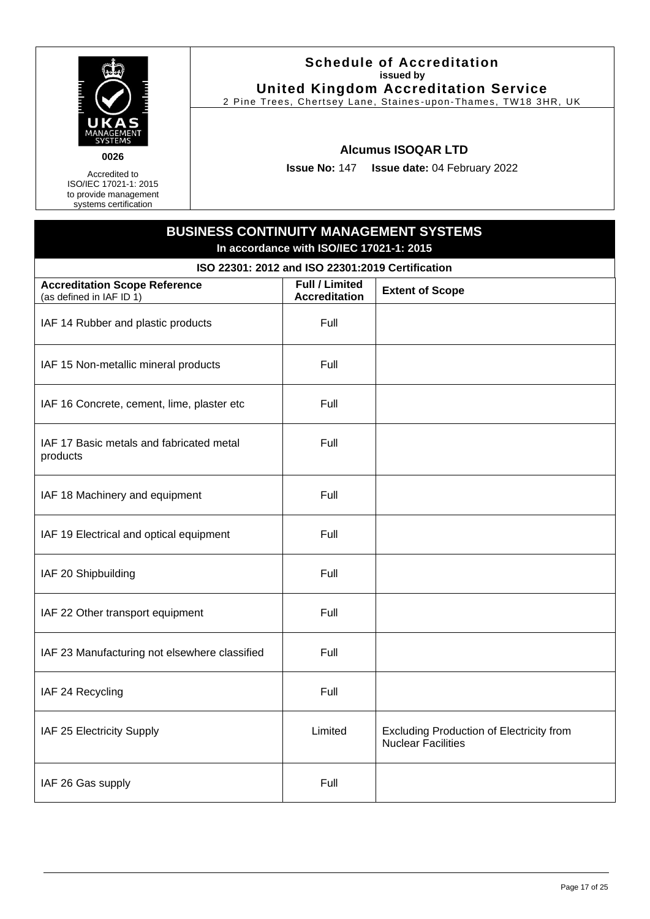

Accredited to ISO/IEC 17021-1: 2015 to provide management

systems certification

### **Schedule of Accreditation issued by United Kingdom Accreditation Service**

2 Pine Trees, Chertsey Lane, Staines -upon-Thames, TW18 3HR, UK

### **Alcumus ISOQAR LTD**

**Issue No:** 147 **Issue date:** 04 February 2022

# **BUSINESS CONTINUITY MANAGEMENT SYSTEMS In accordance with ISO/IEC 17021-1: 2015 ISO 22301: 2012 and ISO 22301:2019 Certification Accreditation Scope Reference** (as defined in IAF ID 1) **Full / Limited Accreditation Extent of Scope** IAF 14 Rubber and plastic products Full IAF 15 Non-metallic mineral products Full IAF 16 Concrete, cement, lime, plaster etc Full IAF 17 Basic metals and fabricated metal products Full IAF 18 Machinery and equipment Full IAF 19 Electrical and optical equipment Full IAF 20 Shipbuilding Full and Full and Full and Full and Full and Full and Full and Full and Full and Full and Full and Full and Full and Full and Full and Full and Full and Full and Full and Full and Full and Full and Full IAF 22 Other transport equipment Full IAF 23 Manufacturing not elsewhere classified  $\vert$  Full IAF 24 Recycling Full IAF 25 Electricity Supply Limited Excluding Production of Electricity from Nuclear Facilities IAF 26 Gas supply Full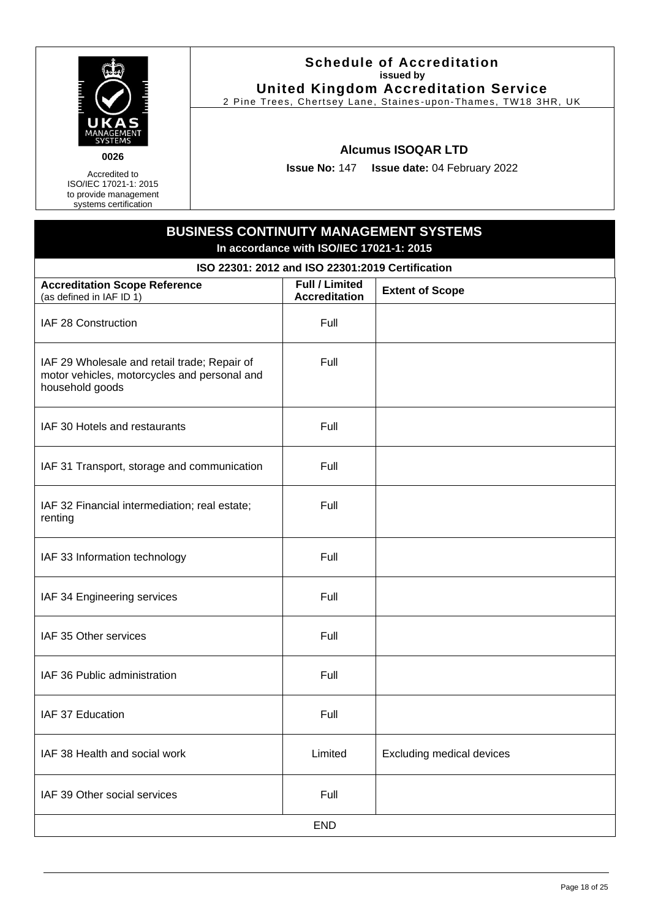

Accredited to ISO/IEC 17021-1: 2015

to provide management systems certification

### **Schedule of Accreditation issued by United Kingdom Accreditation Service**

2 Pine Trees, Chertsey Lane, Staines -upon-Thames, TW18 3HR, UK

### **Alcumus ISOQAR LTD**

**Issue No:** 147 **Issue date:** 04 February 2022

# **BUSINESS CONTINUITY MANAGEMENT SYSTEMS In accordance with ISO/IEC 17021-1: 2015 ISO 22301: 2012 and ISO 22301:2019 Certification Accreditation Scope Reference** (as defined in IAF ID 1) **Full / Limited Accreditation Extent of Scope** IAF 28 Construction **Full** Full IAF 29 Wholesale and retail trade; Repair of motor vehicles, motorcycles and personal and household goods Full  $IAF$  30 Hotels and restaurants  $I = \begin{bmatrix} 1 & 1 \\ 1 & 1 \end{bmatrix}$ IAF 31 Transport, storage and communication  $\vert$  Full IAF 32 Financial intermediation; real estate; renting Full  $IAF$  33 Information technology  $I = \begin{bmatrix} \text{Full} \\ \text{Full} \end{bmatrix}$ IAF 34 Engineering services Full Full IAF 35 Other services Full Research Control of the Full Research Full Full IAF 36 Public administration The Rull of Tell IAF 37 Education **Full** Full IAF 38 Health and social work **Limited** Excluding medical devices IAF 39 Other social services **Full** Full END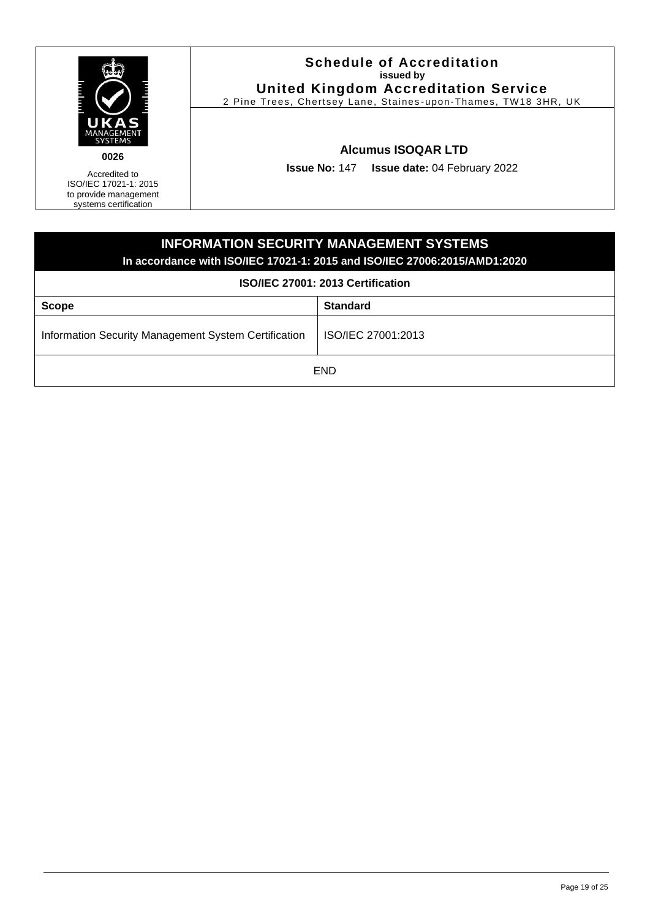

Accredited to ISO/IEC 17021-1: 2015

to provide management systems certification

### **Schedule of Accreditation issued by United Kingdom Accreditation Service**

2 Pine Trees, Chertsey Lane, Staines -upon-Thames, TW18 3HR, UK

### **Alcumus ISOQAR LTD**

**Issue No:** 147 **Issue date:** 04 February 2022

# <span id="page-18-0"></span>**INFORMATION SECURITY MANAGEMENT SYSTEMS In accordance with ISO/IEC 17021-1: 2015 and ISO/IEC 27006:2015/AMD1:2020 ISO/IEC 27001: 2013 Certification Scope Standard** Information Security Management System Certification | ISO/IEC 27001:2013 END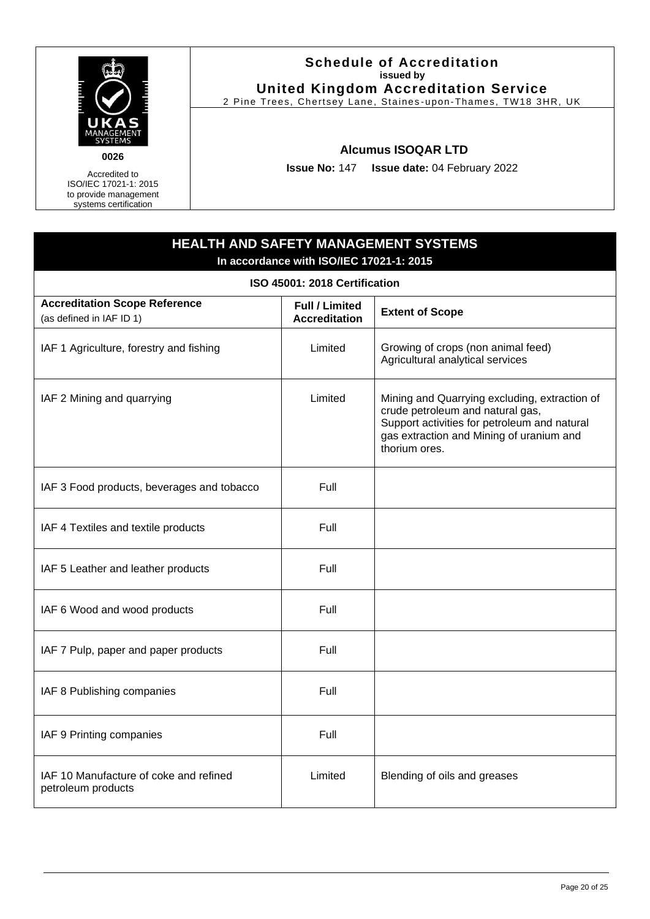

### **Schedule of Accreditation issued by United Kingdom Accreditation Service**

2 Pine Trees, Chertsey Lane, Staines -upon-Thames, TW18 3HR, UK

### **Alcumus ISOQAR LTD**

**Issue No:** 147 **Issue date:** 04 February 2022

## <span id="page-19-0"></span>**HEALTH AND SAFETY MANAGEMENT SYSTEMS In accordance with ISO/IEC 17021-1: 2015 ISO 45001: 2018 Certification Accreditation Scope Reference** (as defined in IAF ID 1) **Full / Limited Extent of Scope** IAF 1 Agriculture, forestry and fishing  $\vert$  Limited Growing of crops (non animal feed) Agricultural analytical services IAF 2 Mining and quarrying Table 10 and Cuarrying excluding, extraction of crude petroleum and natural gas, Support activities for petroleum and natural gas extraction and Mining of uranium and thorium ores. IAF 3 Food products, beverages and tobacco  $\blacksquare$  Full  $IAF 4$  Textiles and textile products  $|$  Full IAF 5 Leather and leather products Full  $IAF 6 Wood and wood products$  Full IAF 7 Pulp, paper and paper products Full IAF 8 Publishing companies Full IAF 9 Printing companies Full IAF 10 Manufacture of coke and refined petroleum products Limited | Blending of oils and greases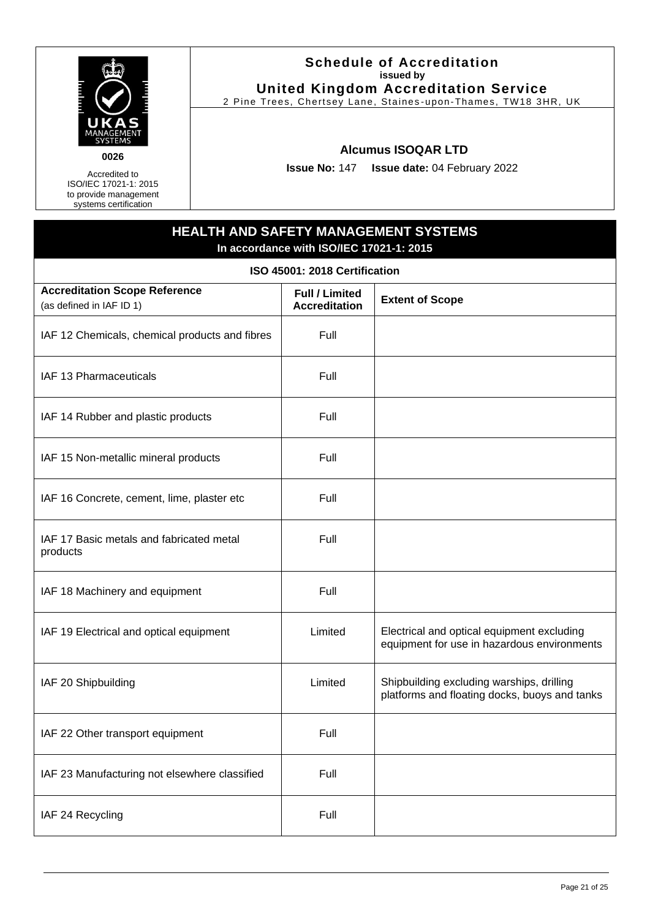

Accredited to

ISO/IEC 17021-1: 2015 to provide management systems certification

#### **Schedule of Accreditation issued by United Kingdom Accreditation Service**

2 Pine Trees, Chertsey Lane, Staines -upon-Thames, TW18 3HR, UK

### **Alcumus ISOQAR LTD**

**Issue No:** 147 **Issue date:** 04 February 2022

### **HEALTH AND SAFETY MANAGEMENT SYSTEMS In accordance with ISO/IEC 17021-1: 2015**

**ISO 45001: 2018 Certification**

| <b>Accreditation Scope Reference</b><br>(as defined in IAF ID 1) | <b>Full / Limited</b><br><b>Accreditation</b> | <b>Extent of Scope</b>                                                                     |
|------------------------------------------------------------------|-----------------------------------------------|--------------------------------------------------------------------------------------------|
| IAF 12 Chemicals, chemical products and fibres                   | Full                                          |                                                                                            |
| IAF 13 Pharmaceuticals                                           | Full                                          |                                                                                            |
| IAF 14 Rubber and plastic products                               | Full                                          |                                                                                            |
| IAF 15 Non-metallic mineral products                             | Full                                          |                                                                                            |
| IAF 16 Concrete, cement, lime, plaster etc                       | Full                                          |                                                                                            |
| IAF 17 Basic metals and fabricated metal<br>products             | Full                                          |                                                                                            |
| IAF 18 Machinery and equipment                                   | Full                                          |                                                                                            |
| IAF 19 Electrical and optical equipment                          | Limited                                       | Electrical and optical equipment excluding<br>equipment for use in hazardous environments  |
| IAF 20 Shipbuilding                                              | Limited                                       | Shipbuilding excluding warships, drilling<br>platforms and floating docks, buoys and tanks |
| IAF 22 Other transport equipment                                 | Full                                          |                                                                                            |
| IAF 23 Manufacturing not elsewhere classified                    | Full                                          |                                                                                            |
| IAF 24 Recycling                                                 | Full                                          |                                                                                            |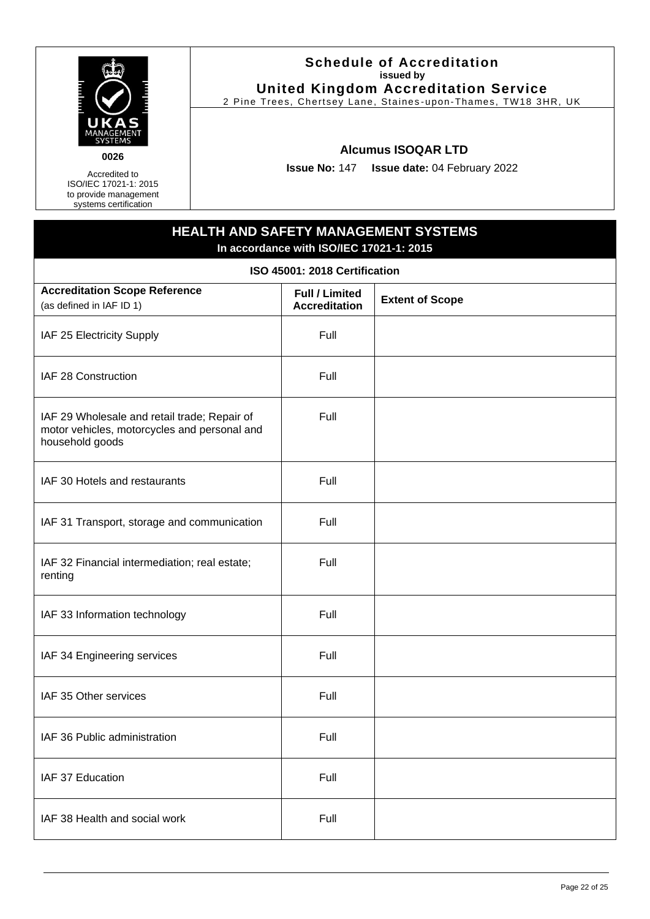

Accredited to ISO/IEC 17021-1: 2015

to provide management systems certification

### **Schedule of Accreditation issued by United Kingdom Accreditation Service**

2 Pine Trees, Chertsey Lane, Staines -upon-Thames, TW18 3HR, UK

### **Alcumus ISOQAR LTD**

**Issue No:** 147 **Issue date:** 04 February 2022

# **HEALTH AND SAFETY MANAGEMENT SYSTEMS In accordance with ISO/IEC 17021-1: 2015 ISO 45001: 2018 Certification Accreditation Scope Reference** (as defined in IAF ID 1) **Full / Limited Accreditation Extent of Scope** IAF 25 Electricity Supply Full IAF 28 Construction **Full** IAF 29 Wholesale and retail trade; Repair of motor vehicles, motorcycles and personal and household goods Full IAF 30 Hotels and restaurants Theory Contains Full IAF 31 Transport, storage and communication Full IAF 32 Financial intermediation; real estate; renting Full IAF 33 Information technology Full IAF 34 Engineering services Full Full IAF 35 Other services Full Research Assembly Research Full Research Full Research Full IAF 36 Public administration The Rull Full IAF 37 Education **Full** Full IAF 38 Health and social work **Full** Full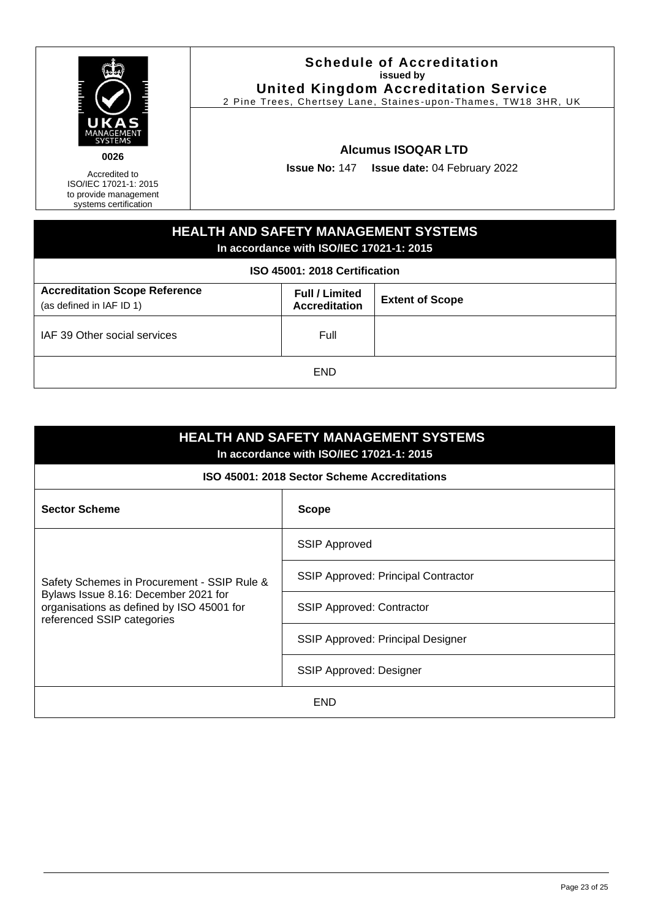| ANAGEMENT<br>SYSTEMS |  |
|----------------------|--|

Accredited to ISO/IEC 17021-1: 2015

**0026**

to provide management systems certification

### **Schedule of Accreditation issued by United Kingdom Accreditation Service**

2 Pine Trees, Chertsey Lane, Staines -upon-Thames, TW18 3HR, UK

### **Alcumus ISOQAR LTD**

**Issue No:** 147 **Issue date:** 04 February 2022

### **HEALTH AND SAFETY MANAGEMENT SYSTEMS In accordance with ISO/IEC 17021-1: 2015 ISO 45001: 2018 Certification Accreditation Scope Reference** (as defined in IAF ID 1) **Full / Limited Accreditation Extent of Scope** IAF 39 Other social services Full Full END

| <b>HEALTH AND SAFETY MANAGEMENT SYSTEMS</b><br>In accordance with ISO/IEC 17021-1: 2015                                                                        |                                            |  |  |  |
|----------------------------------------------------------------------------------------------------------------------------------------------------------------|--------------------------------------------|--|--|--|
| ISO 45001: 2018 Sector Scheme Accreditations                                                                                                                   |                                            |  |  |  |
| <b>Sector Scheme</b>                                                                                                                                           | <b>Scope</b>                               |  |  |  |
| Safety Schemes in Procurement - SSIP Rule &<br>Bylaws Issue 8.16: December 2021 for<br>organisations as defined by ISO 45001 for<br>referenced SSIP categories | <b>SSIP Approved</b>                       |  |  |  |
|                                                                                                                                                                | <b>SSIP Approved: Principal Contractor</b> |  |  |  |
|                                                                                                                                                                | <b>SSIP Approved: Contractor</b>           |  |  |  |
|                                                                                                                                                                | SSIP Approved: Principal Designer          |  |  |  |
|                                                                                                                                                                | SSIP Approved: Designer                    |  |  |  |
| <b>END</b>                                                                                                                                                     |                                            |  |  |  |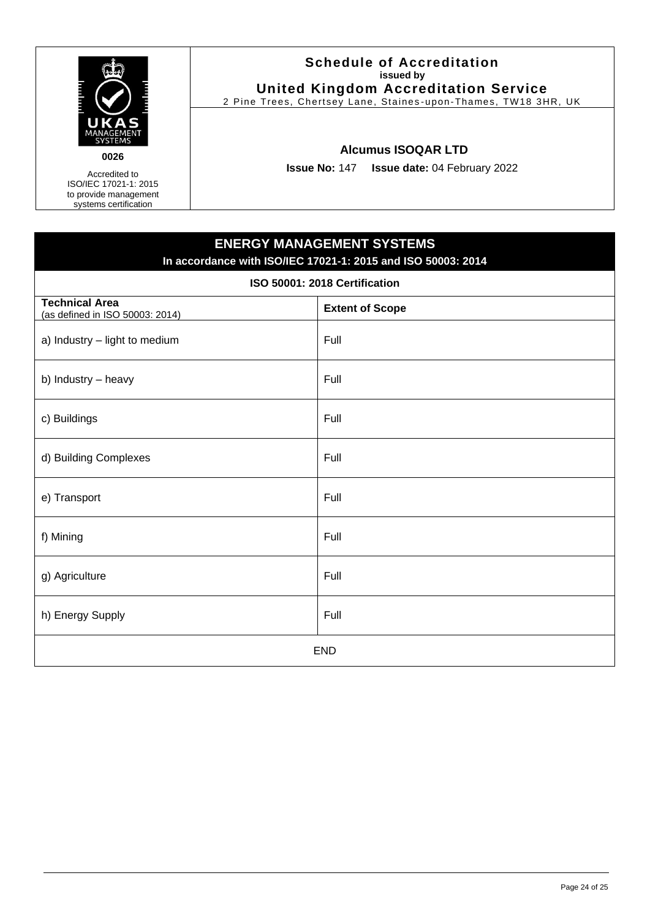

g) Agriculture Full and the Full and the Full and the Full and the Full and the Full and the Full and the Full

h) Energy Supply **Full** 

### **Schedule of Accreditation issued by United Kingdom Accreditation Service**

2 Pine Trees, Chertsey Lane, Staines -upon-Thames, TW18 3HR, UK

### **Alcumus ISOQAR LTD**

**Issue No:** 147 **Issue date:** 04 February 2022

# <span id="page-23-0"></span>**ENERGY MANAGEMENT SYSTEMS In accordance with ISO/IEC 17021-1: 2015 and ISO 50003: 2014 ISO 50001: 2018 Certification Technical Area** (as defined in ISO 50003: 2014) **Extent of Scope** a) Industry  $-$  light to medium  $\blacksquare$  Full b) Industry – heavy  $|$  Full c) Buildings Full d) Building Complexes Full e) Transport Full f) Mining Full

END